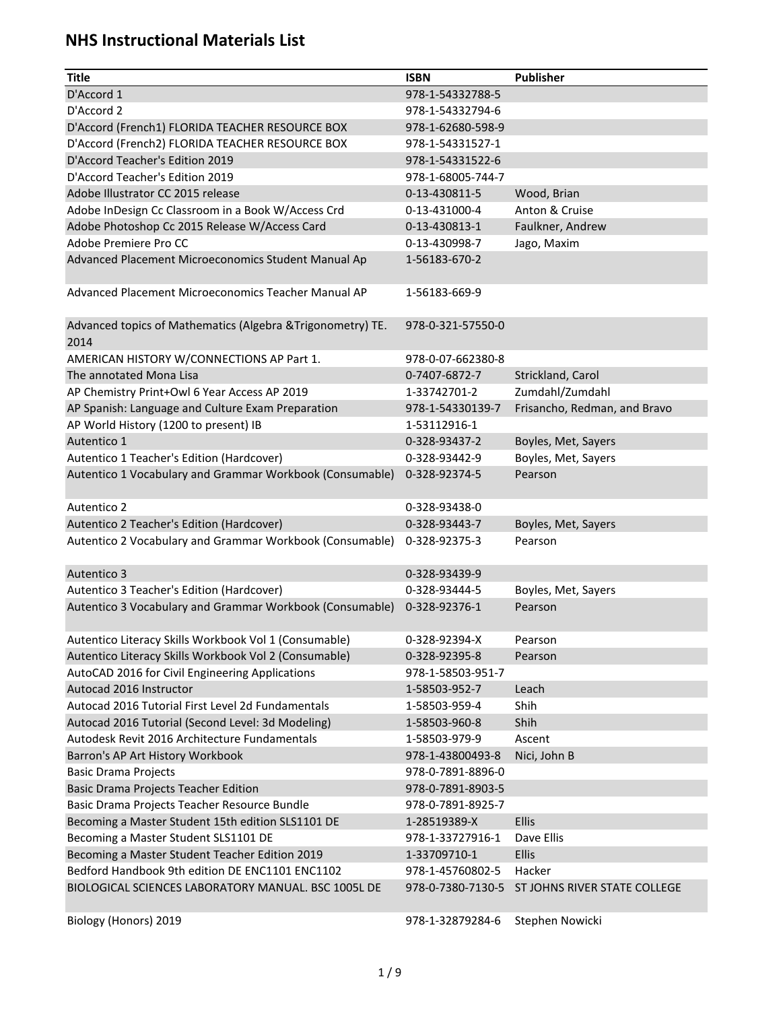| <b>Title</b>                                                | <b>ISBN</b>       | <b>Publisher</b>             |
|-------------------------------------------------------------|-------------------|------------------------------|
| D'Accord 1                                                  | 978-1-54332788-5  |                              |
| D'Accord 2                                                  | 978-1-54332794-6  |                              |
| D'Accord (French1) FLORIDA TEACHER RESOURCE BOX             | 978-1-62680-598-9 |                              |
| D'Accord (French2) FLORIDA TEACHER RESOURCE BOX             | 978-1-54331527-1  |                              |
| D'Accord Teacher's Edition 2019                             | 978-1-54331522-6  |                              |
| D'Accord Teacher's Edition 2019                             | 978-1-68005-744-7 |                              |
| Adobe Illustrator CC 2015 release                           | 0-13-430811-5     | Wood, Brian                  |
| Adobe InDesign Cc Classroom in a Book W/Access Crd          | 0-13-431000-4     | Anton & Cruise               |
| Adobe Photoshop Cc 2015 Release W/Access Card               | 0-13-430813-1     | Faulkner, Andrew             |
| Adobe Premiere Pro CC                                       | 0-13-430998-7     | Jago, Maxim                  |
| Advanced Placement Microeconomics Student Manual Ap         | 1-56183-670-2     |                              |
| Advanced Placement Microeconomics Teacher Manual AP         | 1-56183-669-9     |                              |
|                                                             |                   |                              |
| Advanced topics of Mathematics (Algebra & Trigonometry) TE. | 978-0-321-57550-0 |                              |
| 2014                                                        |                   |                              |
| AMERICAN HISTORY W/CONNECTIONS AP Part 1.                   | 978-0-07-662380-8 |                              |
| The annotated Mona Lisa                                     | 0-7407-6872-7     | Strickland, Carol            |
| AP Chemistry Print+Owl 6 Year Access AP 2019                | 1-33742701-2      | Zumdahl/Zumdahl              |
| AP Spanish: Language and Culture Exam Preparation           | 978-1-54330139-7  | Frisancho, Redman, and Bravo |
| AP World History (1200 to present) IB                       | 1-53112916-1      |                              |
| Autentico 1                                                 | 0-328-93437-2     | Boyles, Met, Sayers          |
| Autentico 1 Teacher's Edition (Hardcover)                   | 0-328-93442-9     | Boyles, Met, Sayers          |
| Autentico 1 Vocabulary and Grammar Workbook (Consumable)    | 0-328-92374-5     | Pearson                      |
| Autentico 2                                                 | 0-328-93438-0     |                              |
| Autentico 2 Teacher's Edition (Hardcover)                   | 0-328-93443-7     | Boyles, Met, Sayers          |
| Autentico 2 Vocabulary and Grammar Workbook (Consumable)    | 0-328-92375-3     | Pearson                      |
| Autentico 3                                                 | 0-328-93439-9     |                              |
| Autentico 3 Teacher's Edition (Hardcover)                   | 0-328-93444-5     | Boyles, Met, Sayers          |
| Autentico 3 Vocabulary and Grammar Workbook (Consumable)    | 0-328-92376-1     | Pearson                      |
| Autentico Literacy Skills Workbook Vol 1 (Consumable)       | 0-328-92394-X     | Pearson                      |
| Autentico Literacy Skills Workbook Vol 2 (Consumable)       | 0-328-92395-8     | Pearson                      |
| AutoCAD 2016 for Civil Engineering Applications             | 978-1-58503-951-7 |                              |
| Autocad 2016 Instructor                                     | 1-58503-952-7     | Leach                        |
| Autocad 2016 Tutorial First Level 2d Fundamentals           | 1-58503-959-4     | Shih                         |
| Autocad 2016 Tutorial (Second Level: 3d Modeling)           | 1-58503-960-8     | Shih                         |
| Autodesk Revit 2016 Architecture Fundamentals               | 1-58503-979-9     | Ascent                       |
| Barron's AP Art History Workbook                            | 978-1-43800493-8  | Nici, John B                 |
| <b>Basic Drama Projects</b>                                 | 978-0-7891-8896-0 |                              |
| <b>Basic Drama Projects Teacher Edition</b>                 | 978-0-7891-8903-5 |                              |
| Basic Drama Projects Teacher Resource Bundle                | 978-0-7891-8925-7 |                              |
| Becoming a Master Student 15th edition SLS1101 DE           | 1-28519389-X      | Ellis                        |
| Becoming a Master Student SLS1101 DE                        | 978-1-33727916-1  | Dave Ellis                   |
| Becoming a Master Student Teacher Edition 2019              | 1-33709710-1      | Ellis                        |
| Bedford Handbook 9th edition DE ENC1101 ENC1102             | 978-1-45760802-5  | Hacker                       |
| BIOLOGICAL SCIENCES LABORATORY MANUAL. BSC 1005L DE         | 978-0-7380-7130-5 | ST JOHNS RIVER STATE COLLEGE |
| Biology (Honors) 2019                                       | 978-1-32879284-6  | Stephen Nowicki              |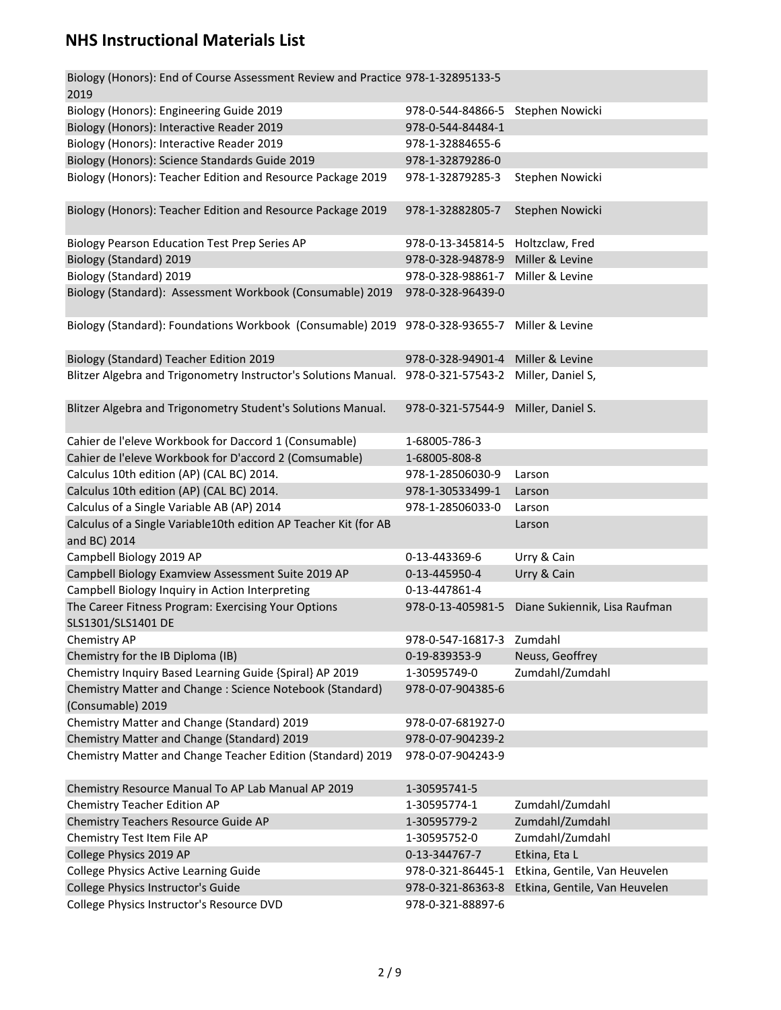| Biology (Honors): End of Course Assessment Review and Practice 978-1-32895133-5<br>2019      |                                     |                               |
|----------------------------------------------------------------------------------------------|-------------------------------------|-------------------------------|
| Biology (Honors): Engineering Guide 2019                                                     | 978-0-544-84866-5 Stephen Nowicki   |                               |
| Biology (Honors): Interactive Reader 2019                                                    | 978-0-544-84484-1                   |                               |
| Biology (Honors): Interactive Reader 2019                                                    | 978-1-32884655-6                    |                               |
| Biology (Honors): Science Standards Guide 2019                                               | 978-1-32879286-0                    |                               |
| Biology (Honors): Teacher Edition and Resource Package 2019                                  | 978-1-32879285-3                    | Stephen Nowicki               |
| Biology (Honors): Teacher Edition and Resource Package 2019                                  | 978-1-32882805-7                    | Stephen Nowicki               |
| <b>Biology Pearson Education Test Prep Series AP</b>                                         | 978-0-13-345814-5 Holtzclaw, Fred   |                               |
| Biology (Standard) 2019                                                                      | 978-0-328-94878-9                   | Miller & Levine               |
| Biology (Standard) 2019                                                                      | 978-0-328-98861-7 Miller & Levine   |                               |
| Biology (Standard): Assessment Workbook (Consumable) 2019                                    | 978-0-328-96439-0                   |                               |
| Biology (Standard): Foundations Workbook (Consumable) 2019 978-0-328-93655-7 Miller & Levine |                                     |                               |
| Biology (Standard) Teacher Edition 2019                                                      | 978-0-328-94901-4 Miller & Levine   |                               |
| Blitzer Algebra and Trigonometry Instructor's Solutions Manual.                              | 978-0-321-57543-2 Miller, Daniel S, |                               |
| Blitzer Algebra and Trigonometry Student's Solutions Manual.                                 | 978-0-321-57544-9                   | Miller, Daniel S.             |
| Cahier de l'eleve Workbook for Daccord 1 (Consumable)                                        | 1-68005-786-3                       |                               |
| Cahier de l'eleve Workbook for D'accord 2 (Comsumable)                                       | 1-68005-808-8                       |                               |
| Calculus 10th edition (AP) (CAL BC) 2014.                                                    | 978-1-28506030-9                    | Larson                        |
| Calculus 10th edition (AP) (CAL BC) 2014.                                                    | 978-1-30533499-1                    | Larson                        |
| Calculus of a Single Variable AB (AP) 2014                                                   | 978-1-28506033-0                    | Larson                        |
| Calculus of a Single Variable10th edition AP Teacher Kit (for AB<br>and BC) 2014             |                                     | Larson                        |
| Campbell Biology 2019 AP                                                                     | 0-13-443369-6                       | Urry & Cain                   |
| Campbell Biology Examview Assessment Suite 2019 AP                                           | 0-13-445950-4                       | Urry & Cain                   |
| Campbell Biology Inquiry in Action Interpreting                                              | 0-13-447861-4                       |                               |
| The Career Fitness Program: Exercising Your Options<br>SLS1301/SLS1401 DE                    | 978-0-13-405981-5                   | Diane Sukiennik, Lisa Raufman |
| Chemistry AP                                                                                 | 978-0-547-16817-3                   | Zumdahl                       |
| Chemistry for the IB Diploma (IB)                                                            | 0-19-839353-9                       | Neuss, Geoffrey               |
| Chemistry Inquiry Based Learning Guide {Spiral} AP 2019                                      | 1-30595749-0                        | Zumdahl/Zumdahl               |
| Chemistry Matter and Change : Science Notebook (Standard)                                    | 978-0-07-904385-6                   |                               |
| (Consumable) 2019                                                                            |                                     |                               |
| Chemistry Matter and Change (Standard) 2019                                                  | 978-0-07-681927-0                   |                               |
| Chemistry Matter and Change (Standard) 2019                                                  | 978-0-07-904239-2                   |                               |
| Chemistry Matter and Change Teacher Edition (Standard) 2019                                  | 978-0-07-904243-9                   |                               |
| Chemistry Resource Manual To AP Lab Manual AP 2019                                           | 1-30595741-5                        |                               |
| <b>Chemistry Teacher Edition AP</b>                                                          | 1-30595774-1                        | Zumdahl/Zumdahl               |
| Chemistry Teachers Resource Guide AP                                                         | 1-30595779-2                        | Zumdahl/Zumdahl               |
| Chemistry Test Item File AP                                                                  | 1-30595752-0                        | Zumdahl/Zumdahl               |
| College Physics 2019 AP                                                                      | 0-13-344767-7                       | Etkina, Eta L                 |
| College Physics Active Learning Guide                                                        | 978-0-321-86445-1                   | Etkina, Gentile, Van Heuvelen |
| College Physics Instructor's Guide                                                           | 978-0-321-86363-8                   | Etkina, Gentile, Van Heuvelen |
| College Physics Instructor's Resource DVD                                                    | 978-0-321-88897-6                   |                               |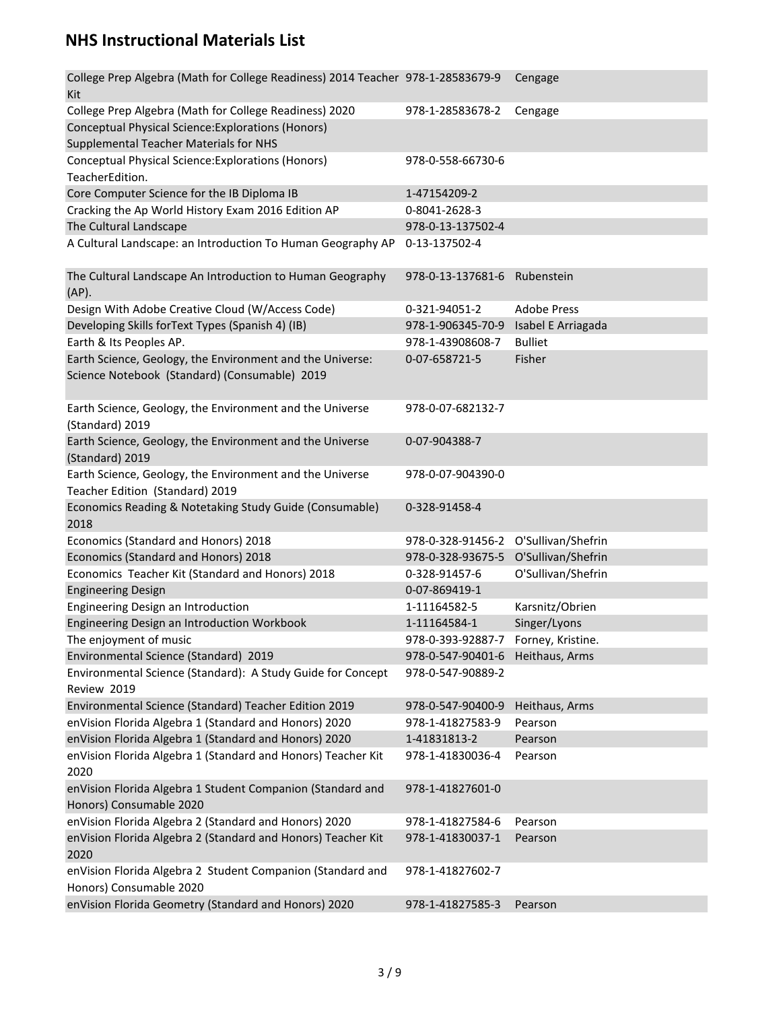| 978-1-28583678-2<br>Cengage<br>978-0-558-66730-6<br>1-47154209-2<br>0-8041-2628-3<br>978-0-13-137502-4<br>0-13-137502-4<br>The Cultural Landscape An Introduction to Human Geography<br>978-0-13-137681-6 Rubenstein<br><b>Adobe Press</b><br>0-321-94051-2<br>Isabel E Arriagada<br>978-1-906345-70-9<br>978-1-43908608-7<br><b>Bulliet</b><br>Earth Science, Geology, the Environment and the Universe:<br>Fisher<br>0-07-658721-5<br>Science Notebook (Standard) (Consumable) 2019<br>Earth Science, Geology, the Environment and the Universe<br>978-0-07-682132-7<br>(Standard) 2019<br>Earth Science, Geology, the Environment and the Universe<br>0-07-904388-7<br>(Standard) 2019<br>Earth Science, Geology, the Environment and the Universe<br>978-0-07-904390-0<br>Teacher Edition (Standard) 2019<br>Economics Reading & Notetaking Study Guide (Consumable)<br>0-328-91458-4<br>Economics (Standard and Honors) 2018<br>978-0-328-91456-2 O'Sullivan/Shefrin<br>Economics (Standard and Honors) 2018<br>978-0-328-93675-5 O'Sullivan/Shefrin<br>Economics Teacher Kit (Standard and Honors) 2018<br>O'Sullivan/Shefrin<br>0-328-91457-6<br>0-07-869419-1<br><b>Engineering Design</b><br>Engineering Design an Introduction<br>1-11164582-5<br>Karsnitz/Obrien<br>Singer/Lyons<br>Engineering Design an Introduction Workbook<br>1-11164584-1<br>The enjoyment of music<br>Forney, Kristine.<br>978-0-393-92887-7<br>Environmental Science (Standard) 2019<br>Heithaus, Arms<br>978-0-547-90401-6<br>Environmental Science (Standard): A Study Guide for Concept<br>978-0-547-90889-2<br>Review 2019<br>Environmental Science (Standard) Teacher Edition 2019<br>978-0-547-90400-9<br>Heithaus, Arms<br>enVision Florida Algebra 1 (Standard and Honors) 2020<br>978-1-41827583-9<br>Pearson<br>enVision Florida Algebra 1 (Standard and Honors) 2020<br>1-41831813-2<br>Pearson<br>enVision Florida Algebra 1 (Standard and Honors) Teacher Kit<br>978-1-41830036-4<br>Pearson<br>enVision Florida Algebra 1 Student Companion (Standard and<br>978-1-41827601-0<br>Honors) Consumable 2020 | College Prep Algebra (Math for College Readiness) 2014 Teacher 978-1-28583679-9<br>Kit | Cengage |
|-----------------------------------------------------------------------------------------------------------------------------------------------------------------------------------------------------------------------------------------------------------------------------------------------------------------------------------------------------------------------------------------------------------------------------------------------------------------------------------------------------------------------------------------------------------------------------------------------------------------------------------------------------------------------------------------------------------------------------------------------------------------------------------------------------------------------------------------------------------------------------------------------------------------------------------------------------------------------------------------------------------------------------------------------------------------------------------------------------------------------------------------------------------------------------------------------------------------------------------------------------------------------------------------------------------------------------------------------------------------------------------------------------------------------------------------------------------------------------------------------------------------------------------------------------------------------------------------------------------------------------------------------------------------------------------------------------------------------------------------------------------------------------------------------------------------------------------------------------------------------------------------------------------------------------------------------------------------------------------------------------------------------------------------------------------------------------------------------------------|----------------------------------------------------------------------------------------|---------|
|                                                                                                                                                                                                                                                                                                                                                                                                                                                                                                                                                                                                                                                                                                                                                                                                                                                                                                                                                                                                                                                                                                                                                                                                                                                                                                                                                                                                                                                                                                                                                                                                                                                                                                                                                                                                                                                                                                                                                                                                                                                                                                           | College Prep Algebra (Math for College Readiness) 2020                                 |         |
|                                                                                                                                                                                                                                                                                                                                                                                                                                                                                                                                                                                                                                                                                                                                                                                                                                                                                                                                                                                                                                                                                                                                                                                                                                                                                                                                                                                                                                                                                                                                                                                                                                                                                                                                                                                                                                                                                                                                                                                                                                                                                                           | Conceptual Physical Science: Explorations (Honors)                                     |         |
|                                                                                                                                                                                                                                                                                                                                                                                                                                                                                                                                                                                                                                                                                                                                                                                                                                                                                                                                                                                                                                                                                                                                                                                                                                                                                                                                                                                                                                                                                                                                                                                                                                                                                                                                                                                                                                                                                                                                                                                                                                                                                                           | Supplemental Teacher Materials for NHS                                                 |         |
|                                                                                                                                                                                                                                                                                                                                                                                                                                                                                                                                                                                                                                                                                                                                                                                                                                                                                                                                                                                                                                                                                                                                                                                                                                                                                                                                                                                                                                                                                                                                                                                                                                                                                                                                                                                                                                                                                                                                                                                                                                                                                                           | Conceptual Physical Science: Explorations (Honors)                                     |         |
|                                                                                                                                                                                                                                                                                                                                                                                                                                                                                                                                                                                                                                                                                                                                                                                                                                                                                                                                                                                                                                                                                                                                                                                                                                                                                                                                                                                                                                                                                                                                                                                                                                                                                                                                                                                                                                                                                                                                                                                                                                                                                                           | TeacherEdition.                                                                        |         |
|                                                                                                                                                                                                                                                                                                                                                                                                                                                                                                                                                                                                                                                                                                                                                                                                                                                                                                                                                                                                                                                                                                                                                                                                                                                                                                                                                                                                                                                                                                                                                                                                                                                                                                                                                                                                                                                                                                                                                                                                                                                                                                           | Core Computer Science for the IB Diploma IB                                            |         |
|                                                                                                                                                                                                                                                                                                                                                                                                                                                                                                                                                                                                                                                                                                                                                                                                                                                                                                                                                                                                                                                                                                                                                                                                                                                                                                                                                                                                                                                                                                                                                                                                                                                                                                                                                                                                                                                                                                                                                                                                                                                                                                           | Cracking the Ap World History Exam 2016 Edition AP                                     |         |
|                                                                                                                                                                                                                                                                                                                                                                                                                                                                                                                                                                                                                                                                                                                                                                                                                                                                                                                                                                                                                                                                                                                                                                                                                                                                                                                                                                                                                                                                                                                                                                                                                                                                                                                                                                                                                                                                                                                                                                                                                                                                                                           | The Cultural Landscape                                                                 |         |
|                                                                                                                                                                                                                                                                                                                                                                                                                                                                                                                                                                                                                                                                                                                                                                                                                                                                                                                                                                                                                                                                                                                                                                                                                                                                                                                                                                                                                                                                                                                                                                                                                                                                                                                                                                                                                                                                                                                                                                                                                                                                                                           | A Cultural Landscape: an Introduction To Human Geography AP                            |         |
|                                                                                                                                                                                                                                                                                                                                                                                                                                                                                                                                                                                                                                                                                                                                                                                                                                                                                                                                                                                                                                                                                                                                                                                                                                                                                                                                                                                                                                                                                                                                                                                                                                                                                                                                                                                                                                                                                                                                                                                                                                                                                                           |                                                                                        |         |
|                                                                                                                                                                                                                                                                                                                                                                                                                                                                                                                                                                                                                                                                                                                                                                                                                                                                                                                                                                                                                                                                                                                                                                                                                                                                                                                                                                                                                                                                                                                                                                                                                                                                                                                                                                                                                                                                                                                                                                                                                                                                                                           |                                                                                        |         |
|                                                                                                                                                                                                                                                                                                                                                                                                                                                                                                                                                                                                                                                                                                                                                                                                                                                                                                                                                                                                                                                                                                                                                                                                                                                                                                                                                                                                                                                                                                                                                                                                                                                                                                                                                                                                                                                                                                                                                                                                                                                                                                           | (AP).                                                                                  |         |
|                                                                                                                                                                                                                                                                                                                                                                                                                                                                                                                                                                                                                                                                                                                                                                                                                                                                                                                                                                                                                                                                                                                                                                                                                                                                                                                                                                                                                                                                                                                                                                                                                                                                                                                                                                                                                                                                                                                                                                                                                                                                                                           | Design With Adobe Creative Cloud (W/Access Code)                                       |         |
|                                                                                                                                                                                                                                                                                                                                                                                                                                                                                                                                                                                                                                                                                                                                                                                                                                                                                                                                                                                                                                                                                                                                                                                                                                                                                                                                                                                                                                                                                                                                                                                                                                                                                                                                                                                                                                                                                                                                                                                                                                                                                                           | Developing Skills for Text Types (Spanish 4) (IB)                                      |         |
|                                                                                                                                                                                                                                                                                                                                                                                                                                                                                                                                                                                                                                                                                                                                                                                                                                                                                                                                                                                                                                                                                                                                                                                                                                                                                                                                                                                                                                                                                                                                                                                                                                                                                                                                                                                                                                                                                                                                                                                                                                                                                                           | Earth & Its Peoples AP.                                                                |         |
|                                                                                                                                                                                                                                                                                                                                                                                                                                                                                                                                                                                                                                                                                                                                                                                                                                                                                                                                                                                                                                                                                                                                                                                                                                                                                                                                                                                                                                                                                                                                                                                                                                                                                                                                                                                                                                                                                                                                                                                                                                                                                                           |                                                                                        |         |
|                                                                                                                                                                                                                                                                                                                                                                                                                                                                                                                                                                                                                                                                                                                                                                                                                                                                                                                                                                                                                                                                                                                                                                                                                                                                                                                                                                                                                                                                                                                                                                                                                                                                                                                                                                                                                                                                                                                                                                                                                                                                                                           |                                                                                        |         |
|                                                                                                                                                                                                                                                                                                                                                                                                                                                                                                                                                                                                                                                                                                                                                                                                                                                                                                                                                                                                                                                                                                                                                                                                                                                                                                                                                                                                                                                                                                                                                                                                                                                                                                                                                                                                                                                                                                                                                                                                                                                                                                           |                                                                                        |         |
|                                                                                                                                                                                                                                                                                                                                                                                                                                                                                                                                                                                                                                                                                                                                                                                                                                                                                                                                                                                                                                                                                                                                                                                                                                                                                                                                                                                                                                                                                                                                                                                                                                                                                                                                                                                                                                                                                                                                                                                                                                                                                                           |                                                                                        |         |
|                                                                                                                                                                                                                                                                                                                                                                                                                                                                                                                                                                                                                                                                                                                                                                                                                                                                                                                                                                                                                                                                                                                                                                                                                                                                                                                                                                                                                                                                                                                                                                                                                                                                                                                                                                                                                                                                                                                                                                                                                                                                                                           |                                                                                        |         |
|                                                                                                                                                                                                                                                                                                                                                                                                                                                                                                                                                                                                                                                                                                                                                                                                                                                                                                                                                                                                                                                                                                                                                                                                                                                                                                                                                                                                                                                                                                                                                                                                                                                                                                                                                                                                                                                                                                                                                                                                                                                                                                           |                                                                                        |         |
|                                                                                                                                                                                                                                                                                                                                                                                                                                                                                                                                                                                                                                                                                                                                                                                                                                                                                                                                                                                                                                                                                                                                                                                                                                                                                                                                                                                                                                                                                                                                                                                                                                                                                                                                                                                                                                                                                                                                                                                                                                                                                                           |                                                                                        |         |
|                                                                                                                                                                                                                                                                                                                                                                                                                                                                                                                                                                                                                                                                                                                                                                                                                                                                                                                                                                                                                                                                                                                                                                                                                                                                                                                                                                                                                                                                                                                                                                                                                                                                                                                                                                                                                                                                                                                                                                                                                                                                                                           |                                                                                        |         |
|                                                                                                                                                                                                                                                                                                                                                                                                                                                                                                                                                                                                                                                                                                                                                                                                                                                                                                                                                                                                                                                                                                                                                                                                                                                                                                                                                                                                                                                                                                                                                                                                                                                                                                                                                                                                                                                                                                                                                                                                                                                                                                           |                                                                                        |         |
|                                                                                                                                                                                                                                                                                                                                                                                                                                                                                                                                                                                                                                                                                                                                                                                                                                                                                                                                                                                                                                                                                                                                                                                                                                                                                                                                                                                                                                                                                                                                                                                                                                                                                                                                                                                                                                                                                                                                                                                                                                                                                                           |                                                                                        |         |
|                                                                                                                                                                                                                                                                                                                                                                                                                                                                                                                                                                                                                                                                                                                                                                                                                                                                                                                                                                                                                                                                                                                                                                                                                                                                                                                                                                                                                                                                                                                                                                                                                                                                                                                                                                                                                                                                                                                                                                                                                                                                                                           | 2018                                                                                   |         |
|                                                                                                                                                                                                                                                                                                                                                                                                                                                                                                                                                                                                                                                                                                                                                                                                                                                                                                                                                                                                                                                                                                                                                                                                                                                                                                                                                                                                                                                                                                                                                                                                                                                                                                                                                                                                                                                                                                                                                                                                                                                                                                           |                                                                                        |         |
|                                                                                                                                                                                                                                                                                                                                                                                                                                                                                                                                                                                                                                                                                                                                                                                                                                                                                                                                                                                                                                                                                                                                                                                                                                                                                                                                                                                                                                                                                                                                                                                                                                                                                                                                                                                                                                                                                                                                                                                                                                                                                                           |                                                                                        |         |
|                                                                                                                                                                                                                                                                                                                                                                                                                                                                                                                                                                                                                                                                                                                                                                                                                                                                                                                                                                                                                                                                                                                                                                                                                                                                                                                                                                                                                                                                                                                                                                                                                                                                                                                                                                                                                                                                                                                                                                                                                                                                                                           |                                                                                        |         |
|                                                                                                                                                                                                                                                                                                                                                                                                                                                                                                                                                                                                                                                                                                                                                                                                                                                                                                                                                                                                                                                                                                                                                                                                                                                                                                                                                                                                                                                                                                                                                                                                                                                                                                                                                                                                                                                                                                                                                                                                                                                                                                           |                                                                                        |         |
|                                                                                                                                                                                                                                                                                                                                                                                                                                                                                                                                                                                                                                                                                                                                                                                                                                                                                                                                                                                                                                                                                                                                                                                                                                                                                                                                                                                                                                                                                                                                                                                                                                                                                                                                                                                                                                                                                                                                                                                                                                                                                                           |                                                                                        |         |
|                                                                                                                                                                                                                                                                                                                                                                                                                                                                                                                                                                                                                                                                                                                                                                                                                                                                                                                                                                                                                                                                                                                                                                                                                                                                                                                                                                                                                                                                                                                                                                                                                                                                                                                                                                                                                                                                                                                                                                                                                                                                                                           |                                                                                        |         |
|                                                                                                                                                                                                                                                                                                                                                                                                                                                                                                                                                                                                                                                                                                                                                                                                                                                                                                                                                                                                                                                                                                                                                                                                                                                                                                                                                                                                                                                                                                                                                                                                                                                                                                                                                                                                                                                                                                                                                                                                                                                                                                           |                                                                                        |         |
|                                                                                                                                                                                                                                                                                                                                                                                                                                                                                                                                                                                                                                                                                                                                                                                                                                                                                                                                                                                                                                                                                                                                                                                                                                                                                                                                                                                                                                                                                                                                                                                                                                                                                                                                                                                                                                                                                                                                                                                                                                                                                                           |                                                                                        |         |
|                                                                                                                                                                                                                                                                                                                                                                                                                                                                                                                                                                                                                                                                                                                                                                                                                                                                                                                                                                                                                                                                                                                                                                                                                                                                                                                                                                                                                                                                                                                                                                                                                                                                                                                                                                                                                                                                                                                                                                                                                                                                                                           |                                                                                        |         |
|                                                                                                                                                                                                                                                                                                                                                                                                                                                                                                                                                                                                                                                                                                                                                                                                                                                                                                                                                                                                                                                                                                                                                                                                                                                                                                                                                                                                                                                                                                                                                                                                                                                                                                                                                                                                                                                                                                                                                                                                                                                                                                           |                                                                                        |         |
|                                                                                                                                                                                                                                                                                                                                                                                                                                                                                                                                                                                                                                                                                                                                                                                                                                                                                                                                                                                                                                                                                                                                                                                                                                                                                                                                                                                                                                                                                                                                                                                                                                                                                                                                                                                                                                                                                                                                                                                                                                                                                                           |                                                                                        |         |
|                                                                                                                                                                                                                                                                                                                                                                                                                                                                                                                                                                                                                                                                                                                                                                                                                                                                                                                                                                                                                                                                                                                                                                                                                                                                                                                                                                                                                                                                                                                                                                                                                                                                                                                                                                                                                                                                                                                                                                                                                                                                                                           |                                                                                        |         |
|                                                                                                                                                                                                                                                                                                                                                                                                                                                                                                                                                                                                                                                                                                                                                                                                                                                                                                                                                                                                                                                                                                                                                                                                                                                                                                                                                                                                                                                                                                                                                                                                                                                                                                                                                                                                                                                                                                                                                                                                                                                                                                           |                                                                                        |         |
|                                                                                                                                                                                                                                                                                                                                                                                                                                                                                                                                                                                                                                                                                                                                                                                                                                                                                                                                                                                                                                                                                                                                                                                                                                                                                                                                                                                                                                                                                                                                                                                                                                                                                                                                                                                                                                                                                                                                                                                                                                                                                                           |                                                                                        |         |
|                                                                                                                                                                                                                                                                                                                                                                                                                                                                                                                                                                                                                                                                                                                                                                                                                                                                                                                                                                                                                                                                                                                                                                                                                                                                                                                                                                                                                                                                                                                                                                                                                                                                                                                                                                                                                                                                                                                                                                                                                                                                                                           | 2020                                                                                   |         |
|                                                                                                                                                                                                                                                                                                                                                                                                                                                                                                                                                                                                                                                                                                                                                                                                                                                                                                                                                                                                                                                                                                                                                                                                                                                                                                                                                                                                                                                                                                                                                                                                                                                                                                                                                                                                                                                                                                                                                                                                                                                                                                           |                                                                                        |         |
|                                                                                                                                                                                                                                                                                                                                                                                                                                                                                                                                                                                                                                                                                                                                                                                                                                                                                                                                                                                                                                                                                                                                                                                                                                                                                                                                                                                                                                                                                                                                                                                                                                                                                                                                                                                                                                                                                                                                                                                                                                                                                                           |                                                                                        |         |
| 978-1-41827584-6<br>Pearson                                                                                                                                                                                                                                                                                                                                                                                                                                                                                                                                                                                                                                                                                                                                                                                                                                                                                                                                                                                                                                                                                                                                                                                                                                                                                                                                                                                                                                                                                                                                                                                                                                                                                                                                                                                                                                                                                                                                                                                                                                                                               | enVision Florida Algebra 2 (Standard and Honors) 2020                                  |         |
| 978-1-41830037-1<br>Pearson                                                                                                                                                                                                                                                                                                                                                                                                                                                                                                                                                                                                                                                                                                                                                                                                                                                                                                                                                                                                                                                                                                                                                                                                                                                                                                                                                                                                                                                                                                                                                                                                                                                                                                                                                                                                                                                                                                                                                                                                                                                                               | enVision Florida Algebra 2 (Standard and Honors) Teacher Kit                           |         |
|                                                                                                                                                                                                                                                                                                                                                                                                                                                                                                                                                                                                                                                                                                                                                                                                                                                                                                                                                                                                                                                                                                                                                                                                                                                                                                                                                                                                                                                                                                                                                                                                                                                                                                                                                                                                                                                                                                                                                                                                                                                                                                           | 2020                                                                                   |         |
| 978-1-41827602-7                                                                                                                                                                                                                                                                                                                                                                                                                                                                                                                                                                                                                                                                                                                                                                                                                                                                                                                                                                                                                                                                                                                                                                                                                                                                                                                                                                                                                                                                                                                                                                                                                                                                                                                                                                                                                                                                                                                                                                                                                                                                                          | enVision Florida Algebra 2 Student Companion (Standard and                             |         |
|                                                                                                                                                                                                                                                                                                                                                                                                                                                                                                                                                                                                                                                                                                                                                                                                                                                                                                                                                                                                                                                                                                                                                                                                                                                                                                                                                                                                                                                                                                                                                                                                                                                                                                                                                                                                                                                                                                                                                                                                                                                                                                           | Honors) Consumable 2020                                                                |         |
| 978-1-41827585-3<br>Pearson                                                                                                                                                                                                                                                                                                                                                                                                                                                                                                                                                                                                                                                                                                                                                                                                                                                                                                                                                                                                                                                                                                                                                                                                                                                                                                                                                                                                                                                                                                                                                                                                                                                                                                                                                                                                                                                                                                                                                                                                                                                                               | enVision Florida Geometry (Standard and Honors) 2020                                   |         |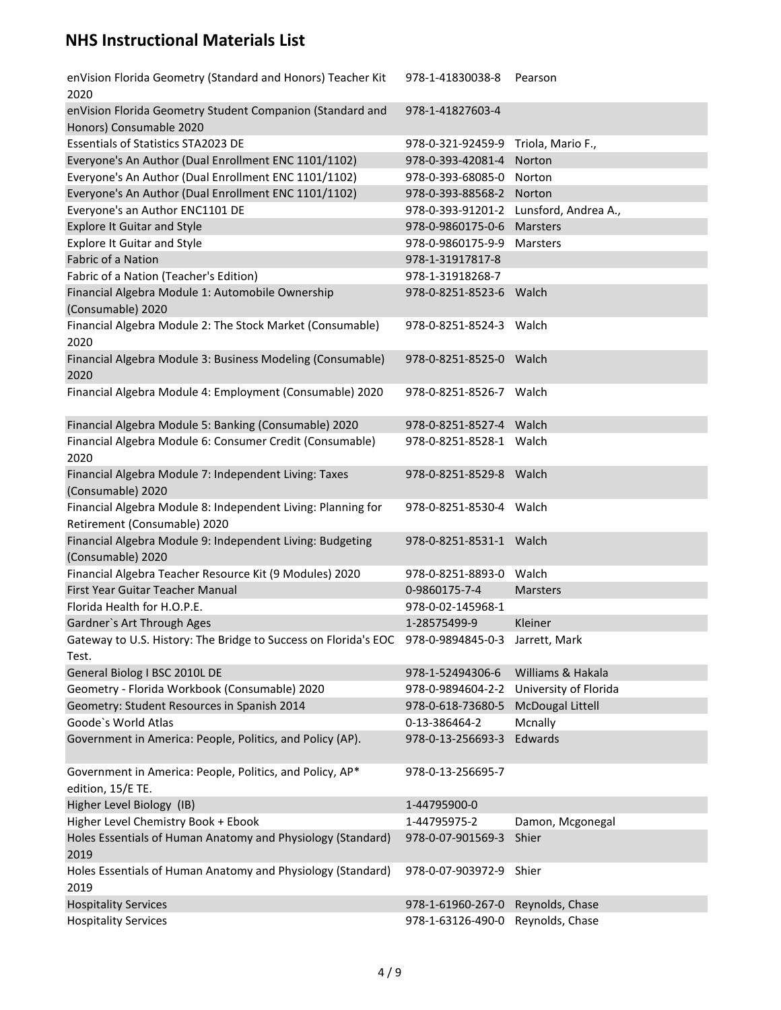| enVision Florida Geometry (Standard and Honors) Teacher Kit<br>2020                          | 978-1-41830038-8        | Pearson                 |
|----------------------------------------------------------------------------------------------|-------------------------|-------------------------|
| enVision Florida Geometry Student Companion (Standard and<br>Honors) Consumable 2020         | 978-1-41827603-4        |                         |
| <b>Essentials of Statistics STA2023 DE</b>                                                   | 978-0-321-92459-9       | Triola, Mario F.,       |
| Everyone's An Author (Dual Enrollment ENC 1101/1102)                                         | 978-0-393-42081-4       | Norton                  |
| Everyone's An Author (Dual Enrollment ENC 1101/1102)                                         | 978-0-393-68085-0       | Norton                  |
| Everyone's An Author (Dual Enrollment ENC 1101/1102)                                         | 978-0-393-88568-2       | Norton                  |
| Everyone's an Author ENC1101 DE                                                              | 978-0-393-91201-2       | Lunsford, Andrea A.,    |
| <b>Explore It Guitar and Style</b>                                                           | 978-0-9860175-0-6       | Marsters                |
| <b>Explore It Guitar and Style</b>                                                           | 978-0-9860175-9-9       | Marsters                |
| <b>Fabric of a Nation</b>                                                                    | 978-1-31917817-8        |                         |
| Fabric of a Nation (Teacher's Edition)                                                       | 978-1-31918268-7        |                         |
| Financial Algebra Module 1: Automobile Ownership<br>(Consumable) 2020                        | 978-0-8251-8523-6 Walch |                         |
| Financial Algebra Module 2: The Stock Market (Consumable)<br>2020                            | 978-0-8251-8524-3 Walch |                         |
| Financial Algebra Module 3: Business Modeling (Consumable)<br>2020                           | 978-0-8251-8525-0 Walch |                         |
| Financial Algebra Module 4: Employment (Consumable) 2020                                     | 978-0-8251-8526-7 Walch |                         |
| Financial Algebra Module 5: Banking (Consumable) 2020                                        | 978-0-8251-8527-4 Walch |                         |
| Financial Algebra Module 6: Consumer Credit (Consumable)<br>2020                             | 978-0-8251-8528-1 Walch |                         |
| Financial Algebra Module 7: Independent Living: Taxes<br>(Consumable) 2020                   | 978-0-8251-8529-8 Walch |                         |
| Financial Algebra Module 8: Independent Living: Planning for<br>Retirement (Consumable) 2020 | 978-0-8251-8530-4 Walch |                         |
| Financial Algebra Module 9: Independent Living: Budgeting<br>(Consumable) 2020               | 978-0-8251-8531-1 Walch |                         |
| Financial Algebra Teacher Resource Kit (9 Modules) 2020                                      | 978-0-8251-8893-0 Walch |                         |
| First Year Guitar Teacher Manual                                                             | 0-9860175-7-4           | Marsters                |
| Florida Health for H.O.P.E.                                                                  | 978-0-02-145968-1       |                         |
| Gardner's Art Through Ages                                                                   | 1-28575499-9            | Kleiner                 |
| Gateway to U.S. History: The Bridge to Success on Florida's EOC<br>Test.                     | 978-0-9894845-0-3       | Jarrett, Mark           |
| General Biolog I BSC 2010L DE                                                                | 978-1-52494306-6        | Williams & Hakala       |
| Geometry - Florida Workbook (Consumable) 2020                                                | 978-0-9894604-2-2       | University of Florida   |
| Geometry: Student Resources in Spanish 2014                                                  | 978-0-618-73680-5       | <b>McDougal Littell</b> |
| Goode's World Atlas                                                                          | 0-13-386464-2           | Mcnally                 |
| Government in America: People, Politics, and Policy (AP).                                    | 978-0-13-256693-3       | Edwards                 |
| Government in America: People, Politics, and Policy, AP*<br>edition, 15/E TE.                | 978-0-13-256695-7       |                         |
| Higher Level Biology (IB)                                                                    | 1-44795900-0            |                         |
| Higher Level Chemistry Book + Ebook                                                          | 1-44795975-2            | Damon, Mcgonegal        |
| Holes Essentials of Human Anatomy and Physiology (Standard)<br>2019                          | 978-0-07-901569-3       | Shier                   |
| Holes Essentials of Human Anatomy and Physiology (Standard)<br>2019                          | 978-0-07-903972-9       | Shier                   |
| <b>Hospitality Services</b>                                                                  | 978-1-61960-267-0       | Reynolds, Chase         |
| <b>Hospitality Services</b>                                                                  | 978-1-63126-490-0       | Reynolds, Chase         |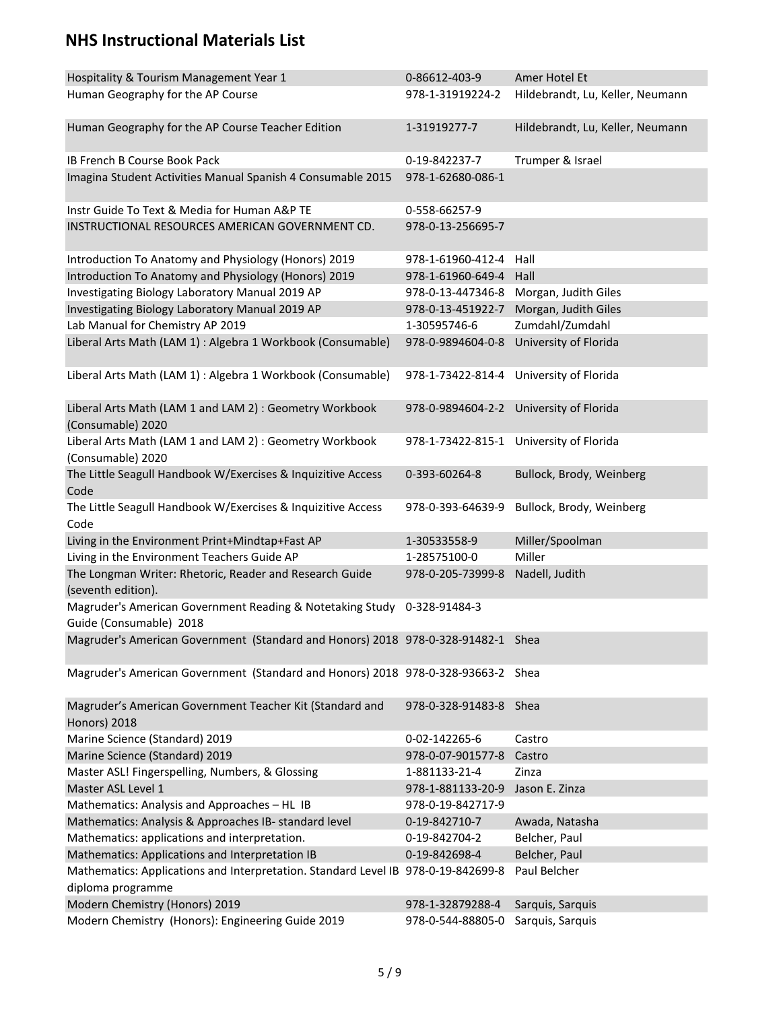| Hospitality & Tourism Management Year 1                                                                | 0-86612-403-9          | Amer Hotel Et                           |
|--------------------------------------------------------------------------------------------------------|------------------------|-----------------------------------------|
| Human Geography for the AP Course                                                                      | 978-1-31919224-2       | Hildebrandt, Lu, Keller, Neumann        |
| Human Geography for the AP Course Teacher Edition                                                      | 1-31919277-7           | Hildebrandt, Lu, Keller, Neumann        |
| IB French B Course Book Pack                                                                           | 0-19-842237-7          | Trumper & Israel                        |
| Imagina Student Activities Manual Spanish 4 Consumable 2015                                            | 978-1-62680-086-1      |                                         |
| Instr Guide To Text & Media for Human A&P TE                                                           | 0-558-66257-9          |                                         |
| INSTRUCTIONAL RESOURCES AMERICAN GOVERNMENT CD.                                                        | 978-0-13-256695-7      |                                         |
| Introduction To Anatomy and Physiology (Honors) 2019                                                   | 978-1-61960-412-4      | Hall                                    |
| Introduction To Anatomy and Physiology (Honors) 2019                                                   | 978-1-61960-649-4      | Hall                                    |
| Investigating Biology Laboratory Manual 2019 AP                                                        | 978-0-13-447346-8      | Morgan, Judith Giles                    |
| Investigating Biology Laboratory Manual 2019 AP                                                        | 978-0-13-451922-7      | Morgan, Judith Giles                    |
| Lab Manual for Chemistry AP 2019                                                                       | 1-30595746-6           | Zumdahl/Zumdahl                         |
| Liberal Arts Math (LAM 1) : Algebra 1 Workbook (Consumable)                                            | 978-0-9894604-0-8      | University of Florida                   |
| Liberal Arts Math (LAM 1) : Algebra 1 Workbook (Consumable)                                            | 978-1-73422-814-4      | University of Florida                   |
| Liberal Arts Math (LAM 1 and LAM 2) : Geometry Workbook<br>(Consumable) 2020                           |                        | 978-0-9894604-2-2 University of Florida |
| Liberal Arts Math (LAM 1 and LAM 2) : Geometry Workbook<br>(Consumable) 2020                           | 978-1-73422-815-1      | University of Florida                   |
| The Little Seagull Handbook W/Exercises & Inquizitive Access<br>Code                                   | 0-393-60264-8          | Bullock, Brody, Weinberg                |
| The Little Seagull Handbook W/Exercises & Inquizitive Access<br>Code                                   | 978-0-393-64639-9      | Bullock, Brody, Weinberg                |
| Living in the Environment Print+Mindtap+Fast AP                                                        | 1-30533558-9           | Miller/Spoolman                         |
| Living in the Environment Teachers Guide AP                                                            | 1-28575100-0           | Miller                                  |
| The Longman Writer: Rhetoric, Reader and Research Guide<br>(seventh edition).                          | 978-0-205-73999-8      | Nadell, Judith                          |
| Magruder's American Government Reading & Notetaking Study 0-328-91484-3<br>Guide (Consumable) 2018     |                        |                                         |
| Magruder's American Government (Standard and Honors) 2018 978-0-328-91482-1 Shea                       |                        |                                         |
| Magruder's American Government (Standard and Honors) 2018 978-0-328-93663-2 Shea                       |                        |                                         |
| Magruder's American Government Teacher Kit (Standard and<br><b>Honors</b> ) 2018                       | 978-0-328-91483-8 Shea |                                         |
| Marine Science (Standard) 2019                                                                         | 0-02-142265-6          | Castro                                  |
| Marine Science (Standard) 2019                                                                         | 978-0-07-901577-8      | Castro                                  |
| Master ASL! Fingerspelling, Numbers, & Glossing                                                        | 1-881133-21-4          | Zinza                                   |
| Master ASL Level 1                                                                                     | 978-1-881133-20-9      | Jason E. Zinza                          |
| Mathematics: Analysis and Approaches - HL IB                                                           | 978-0-19-842717-9      |                                         |
| Mathematics: Analysis & Approaches IB- standard level                                                  | 0-19-842710-7          | Awada, Natasha                          |
| Mathematics: applications and interpretation.                                                          | 0-19-842704-2          | Belcher, Paul                           |
| Mathematics: Applications and Interpretation IB                                                        | 0-19-842698-4          | Belcher, Paul                           |
| Mathematics: Applications and Interpretation. Standard Level IB 978-0-19-842699-8<br>diploma programme |                        | Paul Belcher                            |
| Modern Chemistry (Honors) 2019                                                                         | 978-1-32879288-4       | Sarquis, Sarquis                        |
| Modern Chemistry (Honors): Engineering Guide 2019                                                      | 978-0-544-88805-0      | Sarquis, Sarquis                        |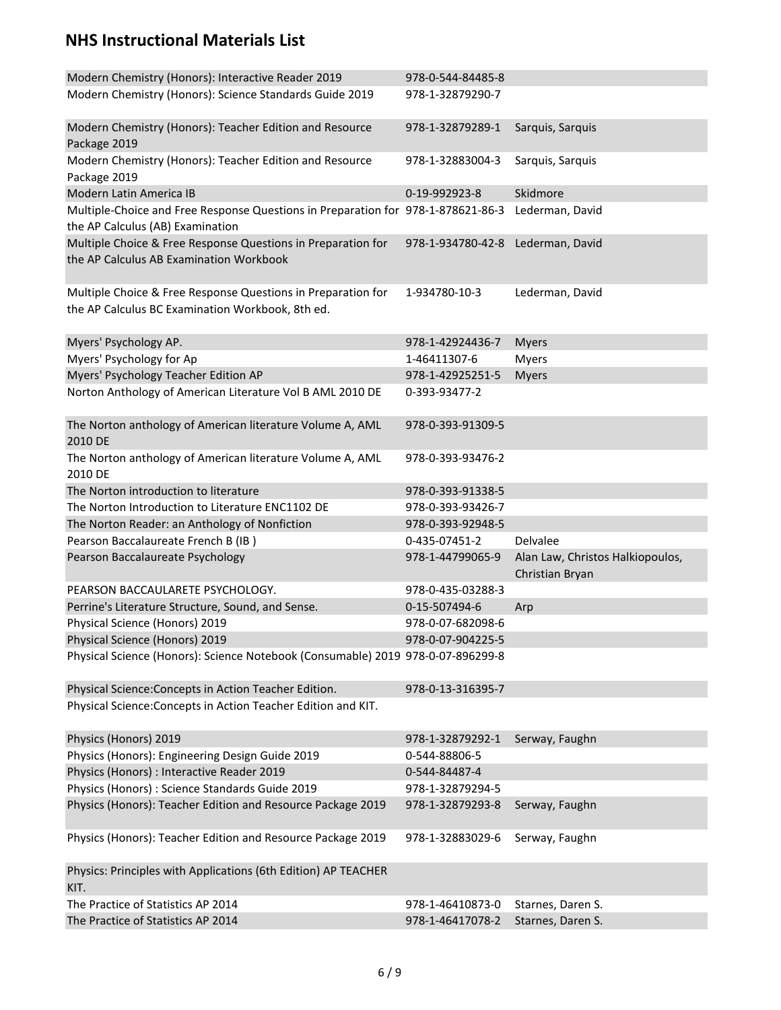| Modern Chemistry (Honors): Interactive Reader 2019<br>Modern Chemistry (Honors): Science Standards Guide 2019        | 978-0-544-84485-8<br>978-1-32879290-7 |                                                     |
|----------------------------------------------------------------------------------------------------------------------|---------------------------------------|-----------------------------------------------------|
|                                                                                                                      |                                       |                                                     |
| Modern Chemistry (Honors): Teacher Edition and Resource<br>Package 2019                                              | 978-1-32879289-1                      | Sarquis, Sarquis                                    |
| Modern Chemistry (Honors): Teacher Edition and Resource<br>Package 2019                                              | 978-1-32883004-3                      | Sarquis, Sarquis                                    |
| Modern Latin America IB                                                                                              | 0-19-992923-8                         | Skidmore                                            |
| Multiple-Choice and Free Response Questions in Preparation for 978-1-878621-86-3<br>the AP Calculus (AB) Examination |                                       | Lederman, David                                     |
| Multiple Choice & Free Response Questions in Preparation for<br>the AP Calculus AB Examination Workbook              | 978-1-934780-42-8                     | Lederman, David                                     |
| Multiple Choice & Free Response Questions in Preparation for<br>the AP Calculus BC Examination Workbook, 8th ed.     | 1-934780-10-3                         | Lederman, David                                     |
| Myers' Psychology AP.                                                                                                | 978-1-42924436-7                      | <b>Myers</b>                                        |
| Myers' Psychology for Ap                                                                                             | 1-46411307-6                          | <b>Myers</b>                                        |
| Myers' Psychology Teacher Edition AP                                                                                 | 978-1-42925251-5                      | <b>Myers</b>                                        |
| Norton Anthology of American Literature Vol B AML 2010 DE                                                            | 0-393-93477-2                         |                                                     |
| The Norton anthology of American literature Volume A, AML<br>2010 DE                                                 | 978-0-393-91309-5                     |                                                     |
| The Norton anthology of American literature Volume A, AML<br>2010 DE                                                 | 978-0-393-93476-2                     |                                                     |
| The Norton introduction to literature                                                                                | 978-0-393-91338-5                     |                                                     |
| The Norton Introduction to Literature ENC1102 DE                                                                     | 978-0-393-93426-7                     |                                                     |
| The Norton Reader: an Anthology of Nonfiction                                                                        | 978-0-393-92948-5                     |                                                     |
| Pearson Baccalaureate French B (IB)                                                                                  | 0-435-07451-2                         | Delvalee                                            |
| Pearson Baccalaureate Psychology                                                                                     | 978-1-44799065-9                      | Alan Law, Christos Halkiopoulos,<br>Christian Bryan |
| PEARSON BACCAULARETE PSYCHOLOGY.                                                                                     | 978-0-435-03288-3                     |                                                     |
| Perrine's Literature Structure, Sound, and Sense.                                                                    | 0-15-507494-6                         | Arp                                                 |
| Physical Science (Honors) 2019                                                                                       | 978-0-07-682098-6                     |                                                     |
| Physical Science (Honors) 2019                                                                                       | 978-0-07-904225-5                     |                                                     |
| Physical Science (Honors): Science Notebook (Consumable) 2019 978-0-07-896299-8                                      |                                       |                                                     |
| Physical Science: Concepts in Action Teacher Edition.                                                                | 978-0-13-316395-7                     |                                                     |
| Physical Science: Concepts in Action Teacher Edition and KIT.                                                        |                                       |                                                     |
| Physics (Honors) 2019                                                                                                | 978-1-32879292-1                      | Serway, Faughn                                      |
| Physics (Honors): Engineering Design Guide 2019                                                                      | 0-544-88806-5                         |                                                     |
| Physics (Honors) : Interactive Reader 2019                                                                           | 0-544-84487-4                         |                                                     |
| Physics (Honors) : Science Standards Guide 2019                                                                      | 978-1-32879294-5                      |                                                     |
| Physics (Honors): Teacher Edition and Resource Package 2019                                                          | 978-1-32879293-8                      | Serway, Faughn                                      |
| Physics (Honors): Teacher Edition and Resource Package 2019                                                          | 978-1-32883029-6                      | Serway, Faughn                                      |
| Physics: Principles with Applications (6th Edition) AP TEACHER<br>KIT.                                               |                                       |                                                     |
| The Practice of Statistics AP 2014                                                                                   | 978-1-46410873-0                      | Starnes, Daren S.                                   |
| The Practice of Statistics AP 2014                                                                                   | 978-1-46417078-2                      | Starnes, Daren S.                                   |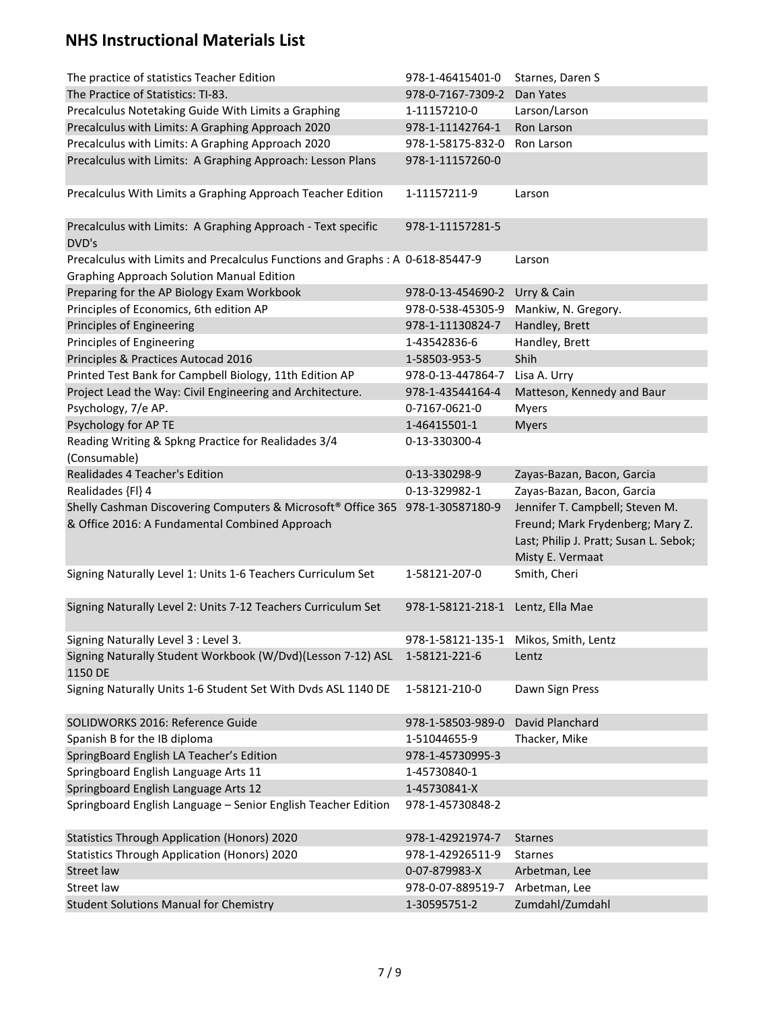| The practice of statistics Teacher Edition                                                                                                  | 978-1-46415401-0                  | Starnes, Daren S                                                                                                                  |
|---------------------------------------------------------------------------------------------------------------------------------------------|-----------------------------------|-----------------------------------------------------------------------------------------------------------------------------------|
| The Practice of Statistics: TI-83.                                                                                                          | 978-0-7167-7309-2                 | Dan Yates                                                                                                                         |
| Precalculus Notetaking Guide With Limits a Graphing                                                                                         | 1-11157210-0                      | Larson/Larson                                                                                                                     |
| Precalculus with Limits: A Graphing Approach 2020                                                                                           | 978-1-11142764-1                  | Ron Larson                                                                                                                        |
| Precalculus with Limits: A Graphing Approach 2020                                                                                           | 978-1-58175-832-0                 | Ron Larson                                                                                                                        |
| Precalculus with Limits: A Graphing Approach: Lesson Plans                                                                                  | 978-1-11157260-0                  |                                                                                                                                   |
| Precalculus With Limits a Graphing Approach Teacher Edition                                                                                 | 1-11157211-9                      | Larson                                                                                                                            |
| Precalculus with Limits: A Graphing Approach - Text specific<br>DVD's                                                                       | 978-1-11157281-5                  |                                                                                                                                   |
| Precalculus with Limits and Precalculus Functions and Graphs: A 0-618-85447-9                                                               |                                   | Larson                                                                                                                            |
| <b>Graphing Approach Solution Manual Edition</b>                                                                                            |                                   |                                                                                                                                   |
| Preparing for the AP Biology Exam Workbook                                                                                                  | 978-0-13-454690-2                 | Urry & Cain                                                                                                                       |
| Principles of Economics, 6th edition AP                                                                                                     | 978-0-538-45305-9                 | Mankiw, N. Gregory.                                                                                                               |
| Principles of Engineering                                                                                                                   | 978-1-11130824-7                  | Handley, Brett                                                                                                                    |
| Principles of Engineering                                                                                                                   | 1-43542836-6                      | Handley, Brett                                                                                                                    |
| Principles & Practices Autocad 2016                                                                                                         | 1-58503-953-5                     | Shih                                                                                                                              |
| Printed Test Bank for Campbell Biology, 11th Edition AP                                                                                     | 978-0-13-447864-7                 | Lisa A. Urry                                                                                                                      |
| Project Lead the Way: Civil Engineering and Architecture.                                                                                   | 978-1-43544164-4                  | Matteson, Kennedy and Baur                                                                                                        |
| Psychology, 7/e AP.                                                                                                                         | 0-7167-0621-0                     | <b>Myers</b>                                                                                                                      |
| Psychology for AP TE                                                                                                                        | 1-46415501-1                      | <b>Myers</b>                                                                                                                      |
| Reading Writing & Spkng Practice for Realidades 3/4                                                                                         | 0-13-330300-4                     |                                                                                                                                   |
| (Consumable)                                                                                                                                |                                   |                                                                                                                                   |
| Realidades 4 Teacher's Edition                                                                                                              | 0-13-330298-9                     | Zayas-Bazan, Bacon, Garcia                                                                                                        |
| Realidades {FI} 4                                                                                                                           | 0-13-329982-1                     | Zayas-Bazan, Bacon, Garcia                                                                                                        |
| Shelly Cashman Discovering Computers & Microsoft <sup>®</sup> Office 365 978-1-30587180-9<br>& Office 2016: A Fundamental Combined Approach |                                   | Jennifer T. Campbell; Steven M.<br>Freund; Mark Frydenberg; Mary Z.<br>Last; Philip J. Pratt; Susan L. Sebok;<br>Misty E. Vermaat |
| Signing Naturally Level 1: Units 1-6 Teachers Curriculum Set                                                                                | 1-58121-207-0                     | Smith, Cheri                                                                                                                      |
| Signing Naturally Level 2: Units 7-12 Teachers Curriculum Set                                                                               | 978-1-58121-218-1 Lentz, Ella Mae |                                                                                                                                   |
| Signing Naturally Level 3 : Level 3.                                                                                                        | 978-1-58121-135-1                 | Mikos, Smith, Lentz                                                                                                               |
| Signing Naturally Student Workbook (W/Dvd)(Lesson 7-12) ASL<br>1150 DE                                                                      | 1-58121-221-6                     | Lentz                                                                                                                             |
| Signing Naturally Units 1-6 Student Set With Dvds ASL 1140 DE                                                                               | 1-58121-210-0                     | Dawn Sign Press                                                                                                                   |
| SOLIDWORKS 2016: Reference Guide                                                                                                            | 978-1-58503-989-0                 | David Planchard                                                                                                                   |
| Spanish B for the IB diploma                                                                                                                | 1-51044655-9                      | Thacker, Mike                                                                                                                     |
| SpringBoard English LA Teacher's Edition                                                                                                    | 978-1-45730995-3                  |                                                                                                                                   |
| Springboard English Language Arts 11                                                                                                        | 1-45730840-1                      |                                                                                                                                   |
| Springboard English Language Arts 12                                                                                                        | 1-45730841-X                      |                                                                                                                                   |
| Springboard English Language - Senior English Teacher Edition                                                                               | 978-1-45730848-2                  |                                                                                                                                   |
|                                                                                                                                             |                                   |                                                                                                                                   |
| <b>Statistics Through Application (Honors) 2020</b>                                                                                         | 978-1-42921974-7                  | <b>Starnes</b>                                                                                                                    |
| <b>Statistics Through Application (Honors) 2020</b>                                                                                         | 978-1-42926511-9                  | <b>Starnes</b>                                                                                                                    |
| <b>Street law</b>                                                                                                                           | 0-07-879983-X                     | Arbetman, Lee                                                                                                                     |
| Street law                                                                                                                                  | 978-0-07-889519-7                 | Arbetman, Lee                                                                                                                     |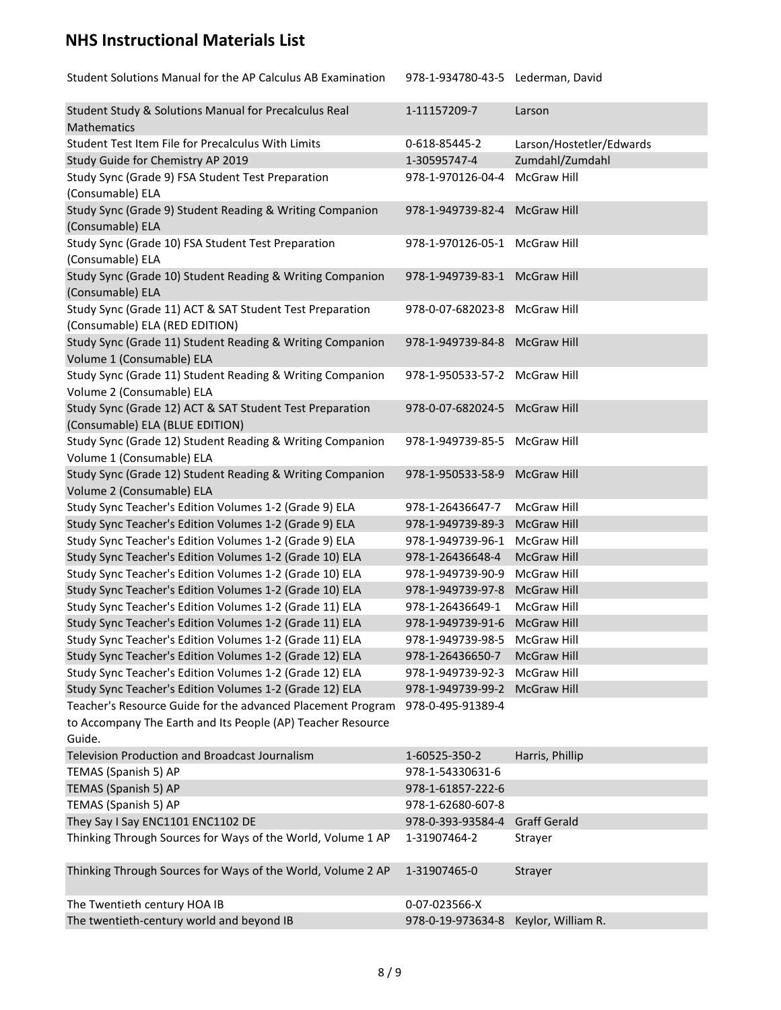| Student Solutions Manual for the AP Calculus AB Examination                            | 978-1-934780-43-5 Lederman, David |                          |
|----------------------------------------------------------------------------------------|-----------------------------------|--------------------------|
| Student Study & Solutions Manual for Precalculus Real<br>Mathematics                   | 1-11157209-7                      | Larson                   |
| Student Test Item File for Precalculus With Limits                                     | 0-618-85445-2                     | Larson/Hostetler/Edwards |
| Study Guide for Chemistry AP 2019                                                      | 1-30595747-4                      | Zumdahl/Zumdahl          |
| Study Sync (Grade 9) FSA Student Test Preparation                                      | 978-1-970126-04-4                 | McGraw Hill              |
| (Consumable) ELA                                                                       |                                   |                          |
| Study Sync (Grade 9) Student Reading & Writing Companion<br>(Consumable) ELA           | 978-1-949739-82-4 McGraw Hill     |                          |
| Study Sync (Grade 10) FSA Student Test Preparation                                     | 978-1-970126-05-1 McGraw Hill     |                          |
| (Consumable) ELA                                                                       |                                   |                          |
| Study Sync (Grade 10) Student Reading & Writing Companion                              | 978-1-949739-83-1 McGraw Hill     |                          |
| (Consumable) ELA                                                                       |                                   |                          |
| Study Sync (Grade 11) ACT & SAT Student Test Preparation                               | 978-0-07-682023-8 McGraw Hill     |                          |
| (Consumable) ELA (RED EDITION)                                                         |                                   |                          |
| Study Sync (Grade 11) Student Reading & Writing Companion                              | 978-1-949739-84-8 McGraw Hill     |                          |
| Volume 1 (Consumable) ELA                                                              |                                   |                          |
| Study Sync (Grade 11) Student Reading & Writing Companion                              | 978-1-950533-57-2 McGraw Hill     |                          |
| Volume 2 (Consumable) ELA                                                              |                                   |                          |
| Study Sync (Grade 12) ACT & SAT Student Test Preparation                               | 978-0-07-682024-5 McGraw Hill     |                          |
| (Consumable) ELA (BLUE EDITION)                                                        |                                   |                          |
| Study Sync (Grade 12) Student Reading & Writing Companion                              | 978-1-949739-85-5 McGraw Hill     |                          |
| Volume 1 (Consumable) ELA<br>Study Sync (Grade 12) Student Reading & Writing Companion | 978-1-950533-58-9 McGraw Hill     |                          |
| Volume 2 (Consumable) ELA                                                              |                                   |                          |
| Study Sync Teacher's Edition Volumes 1-2 (Grade 9) ELA                                 | 978-1-26436647-7                  | McGraw Hill              |
| Study Sync Teacher's Edition Volumes 1-2 (Grade 9) ELA                                 | 978-1-949739-89-3                 | <b>McGraw Hill</b>       |
| Study Sync Teacher's Edition Volumes 1-2 (Grade 9) ELA                                 | 978-1-949739-96-1                 | <b>McGraw Hill</b>       |
| Study Sync Teacher's Edition Volumes 1-2 (Grade 10) ELA                                | 978-1-26436648-4                  | <b>McGraw Hill</b>       |
| Study Sync Teacher's Edition Volumes 1-2 (Grade 10) ELA                                | 978-1-949739-90-9                 | McGraw Hill              |
| Study Sync Teacher's Edition Volumes 1-2 (Grade 10) ELA                                | 978-1-949739-97-8                 | <b>McGraw Hill</b>       |
| Study Sync Teacher's Edition Volumes 1-2 (Grade 11) ELA                                | 978-1-26436649-1                  | McGraw Hill              |
| Study Sync Teacher's Edition Volumes 1-2 (Grade 11) ELA                                | 978-1-949739-91-6                 | <b>McGraw Hill</b>       |
| Study Sync Teacher's Edition Volumes 1-2 (Grade 11) ELA                                | 978-1-949739-98-5                 | McGraw Hill              |
| Study Sync Teacher's Edition Volumes 1-2 (Grade 12) ELA                                | 978-1-26436650-7                  | <b>McGraw Hill</b>       |
| Study Sync Teacher's Edition Volumes 1-2 (Grade 12) ELA                                | 978-1-949739-92-3                 | McGraw Hill              |
| Study Sync Teacher's Edition Volumes 1-2 (Grade 12) ELA                                | 978-1-949739-99-2                 | <b>McGraw Hill</b>       |
| Teacher's Resource Guide for the advanced Placement Program                            | 978-0-495-91389-4                 |                          |
| to Accompany The Earth and Its People (AP) Teacher Resource                            |                                   |                          |
| Guide.                                                                                 |                                   |                          |
| Television Production and Broadcast Journalism                                         | 1-60525-350-2                     | Harris, Phillip          |
| TEMAS (Spanish 5) AP                                                                   | 978-1-54330631-6                  |                          |
| TEMAS (Spanish 5) AP                                                                   | 978-1-61857-222-6                 |                          |
| TEMAS (Spanish 5) AP                                                                   | 978-1-62680-607-8                 |                          |
| They Say I Say ENC1101 ENC1102 DE                                                      | 978-0-393-93584-4                 | <b>Graff Gerald</b>      |
| Thinking Through Sources for Ways of the World, Volume 1 AP                            | 1-31907464-2                      | Strayer                  |
| Thinking Through Sources for Ways of the World, Volume 2 AP                            | 1-31907465-0                      | Strayer                  |
| The Twentieth century HOA IB                                                           | 0-07-023566-X                     |                          |
| The twentieth-century world and beyond IB                                              | 978-0-19-973634-8                 | Keylor, William R.       |